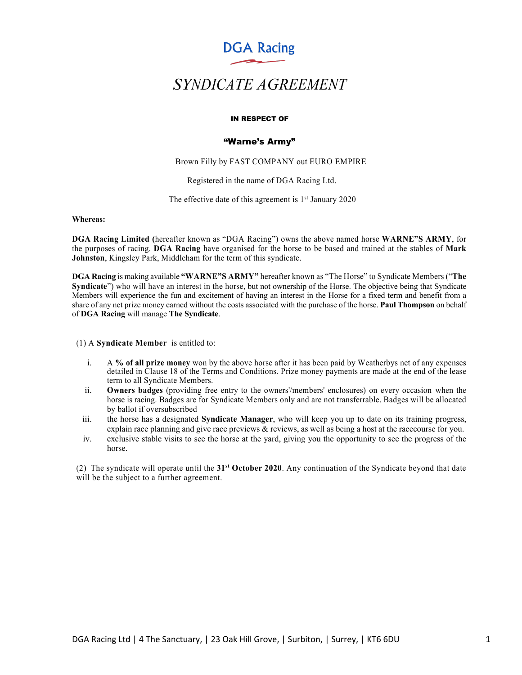**DGA Racing** 

# *SYNDICATE AGREEMENT*

#### IN RESPECT OF

# "Warne's Army"

Brown Filly by FAST COMPANY out EURO EMPIRE

Registered in the name of DGA Racing Ltd.

The effective date of this agreement is  $1<sup>st</sup>$  January 2020

**Whereas:**

**DGA Racing Limited (**hereafter known as "DGA Racing") owns the above named horse **WARNE"S ARMY**, for the purposes of racing. **DGA Racing** have organised for the horse to be based and trained at the stables of **Mark Johnston**, Kingsley Park, Middleham for the term of this syndicate.

**DGA Racing** is making available **"WARNE"S ARMY"** hereafter known as "The Horse" to Syndicate Members ("**The Syndicate**") who will have an interest in the horse, but not ownership of the Horse. The objective being that Syndicate Members will experience the fun and excitement of having an interest in the Horse for a fixed term and benefit from a share of any net prize money earned without the costs associated with the purchase of the horse. **Paul Thompson** on behalf of **DGA Racing** will manage **The Syndicate**.

(1) A **Syndicate Member** is entitled to:

- i. A **% of all prize money** won by the above horse after it has been paid by Weatherbys net of any expenses detailed in Clause 18 of the Terms and Conditions. Prize money payments are made at the end of the lease term to all Syndicate Members.
- ii. **Owners badges** (providing free entry to the owners'/members' enclosures) on every occasion when the horse is racing. Badges are for Syndicate Members only and are not transferrable. Badges will be allocated by ballot if oversubscribed
- iii. the horse has a designated **Syndicate Manager**, who will keep you up to date on its training progress, explain race planning and give race previews & reviews, as well as being a host at the racecourse for you.
- iv. exclusive stable visits to see the horse at the yard, giving you the opportunity to see the progress of the horse.

(2) The syndicate will operate until the **31st October 2020**. Any continuation of the Syndicate beyond that date will be the subject to a further agreement.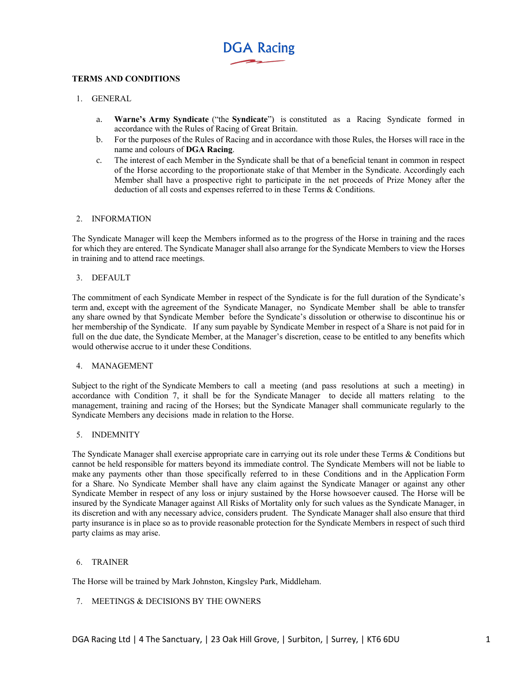

# **TERMS AND CONDITIONS**

# 1. GENERAL

- a. **Warne's Army Syndicate** ("the **Syndicate**") is constituted as a Racing Syndicate formed in accordance with the Rules of Racing of Great Britain.
- b. For the purposes of the Rules of Racing and in accordance with those Rules, the Horses will race in the name and colours of **DGA Racing**.
- c. The interest of each Member in the Syndicate shall be that of a beneficial tenant in common in respect of the Horse according to the proportionate stake of that Member in the Syndicate. Accordingly each Member shall have a prospective right to participate in the net proceeds of Prize Money after the deduction of all costs and expenses referred to in these Terms & Conditions.

## 2. INFORMATION

The Syndicate Manager will keep the Members informed as to the progress of the Horse in training and the races for which they are entered. The Syndicate Manager shall also arrange for the Syndicate Members to view the Horses in training and to attend race meetings.

## 3. DEFAULT

The commitment of each Syndicate Member in respect of the Syndicate is for the full duration of the Syndicate's term and, except with the agreement of the Syndicate Manager, no Syndicate Member shall be able to transfer any share owned by that Syndicate Member before the Syndicate's dissolution or otherwise to discontinue his or her membership of the Syndicate. If any sum payable by Syndicate Member in respect of a Share is not paid for in full on the due date, the Syndicate Member, at the Manager's discretion, cease to be entitled to any benefits which would otherwise accrue to it under these Conditions.

# 4. MANAGEMENT

Subject to the right of the Syndicate Members to call a meeting (and pass resolutions at such a meeting) in accordance with Condition 7, it shall be for the Syndicate Manager to decide all matters relating to the management, training and racing of the Horses; but the Syndicate Manager shall communicate regularly to the Syndicate Members any decisions made in relation to the Horse.

## 5. INDEMNITY

The Syndicate Manager shall exercise appropriate care in carrying out its role under these Terms & Conditions but cannot be held responsible for matters beyond its immediate control. The Syndicate Members will not be liable to make any payments other than those specifically referred to in these Conditions and in the Application Form for a Share. No Syndicate Member shall have any claim against the Syndicate Manager or against any other Syndicate Member in respect of any loss or injury sustained by the Horse howsoever caused. The Horse will be insured by the Syndicate Manager against All Risks of Mortality only for such values as the Syndicate Manager, in its discretion and with any necessary advice, considers prudent. The Syndicate Manager shall also ensure that third party insurance is in place so as to provide reasonable protection for the Syndicate Members in respect of such third party claims as may arise.

# 6. TRAINER

The Horse will be trained by Mark Johnston, Kingsley Park, Middleham.

# 7. MEETINGS & DECISIONS BY THE OWNERS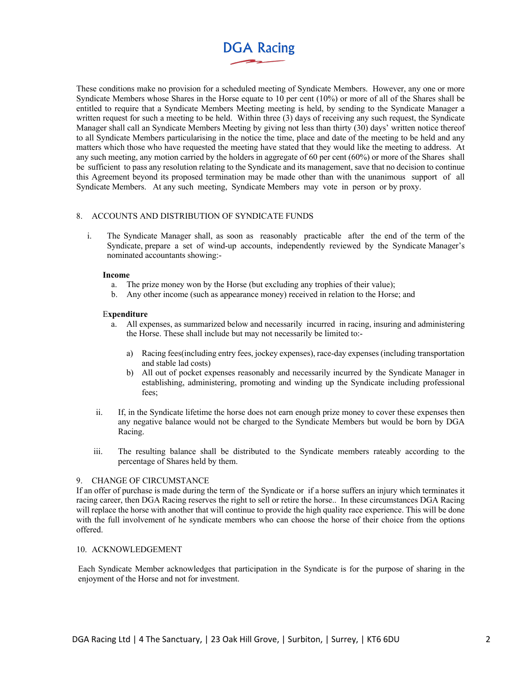# **DGA Racing**

These conditions make no provision for a scheduled meeting of Syndicate Members. However, any one or more Syndicate Members whose Shares in the Horse equate to 10 per cent (10%) or more of all of the Shares shall be entitled to require that a Syndicate Members Meeting meeting is held, by sending to the Syndicate Manager a written request for such a meeting to be held. Within three (3) days of receiving any such request, the Syndicate Manager shall call an Syndicate Members Meeting by giving not less than thirty (30) days' written notice thereof to all Syndicate Members particularising in the notice the time, place and date of the meeting to be held and any matters which those who have requested the meeting have stated that they would like the meeting to address. At any such meeting, any motion carried by the holders in aggregate of 60 per cent (60%) or more of the Shares shall be sufficient to pass any resolution relating to the Syndicate and its management, save that no decision to continue this Agreement beyond its proposed termination may be made other than with the unanimous support of all Syndicate Members. At any such meeting, Syndicate Members may vote in person or by proxy.

# 8. ACCOUNTS AND DISTRIBUTION OF SYNDICATE FUNDS

i. The Syndicate Manager shall, as soon as reasonably practicable after the end of the term of the Syndicate, prepare a set of wind-up accounts, independently reviewed by the Syndicate Manager's nominated accountants showing:-

#### **Income**

- a. The prize money won by the Horse (but excluding any trophies of their value);
- b. Any other income (such as appearance money) received in relation to the Horse; and

## E**xpenditure**

- a. All expenses, as summarized below and necessarily incurred in racing, insuring and administering the Horse. These shall include but may not necessarily be limited to:
	- a) Racing fees(including entry fees, jockey expenses), race-day expenses (including transportation and stable lad costs)
	- b) All out of pocket expenses reasonably and necessarily incurred by the Syndicate Manager in establishing, administering, promoting and winding up the Syndicate including professional fees;
- ii. If, in the Syndicate lifetime the horse does not earn enough prize money to cover these expenses then any negative balance would not be charged to the Syndicate Members but would be born by DGA Racing.
- iii. The resulting balance shall be distributed to the Syndicate members rateably according to the percentage of Shares held by them.

# 9. CHANGE OF CIRCUMSTANCE

If an offer of purchase is made during the term of the Syndicate or if a horse suffers an injury which terminates it racing career, then DGA Racing reserves the right to sell or retire the horse.. In these circumstances DGA Racing will replace the horse with another that will continue to provide the high quality race experience. This will be done with the full involvement of he syndicate members who can choose the horse of their choice from the options offered.

# 10. ACKNOWLEDGEMENT

Each Syndicate Member acknowledges that participation in the Syndicate is for the purpose of sharing in the enjoyment of the Horse and not for investment.